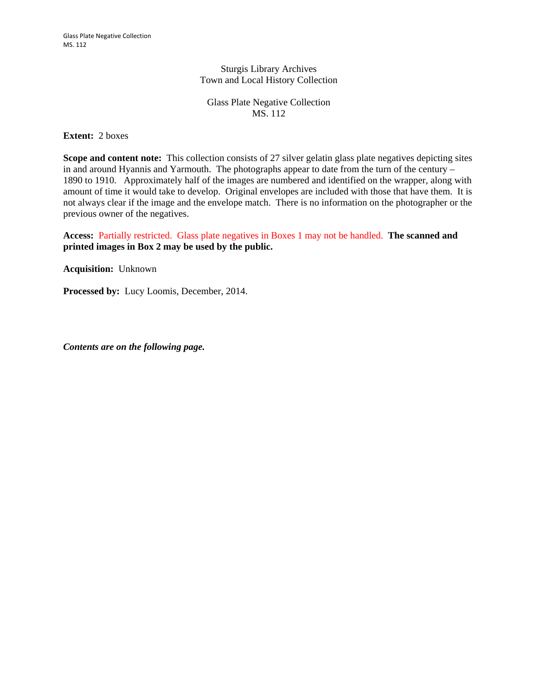Sturgis Library Archives Town and Local History Collection

Glass Plate Negative Collection MS. 112

**Extent:** 2 boxes

**Scope and content note:** This collection consists of 27 silver gelatin glass plate negatives depicting sites in and around Hyannis and Yarmouth. The photographs appear to date from the turn of the century – 1890 to 1910. Approximately half of the images are numbered and identified on the wrapper, along with amount of time it would take to develop. Original envelopes are included with those that have them. It is not always clear if the image and the envelope match. There is no information on the photographer or the previous owner of the negatives.

**Access:** Partially restricted. Glass plate negatives in Boxes 1 may not be handled. **The scanned and printed images in Box 2 may be used by the public.**

**Acquisition:** Unknown

**Processed by:** Lucy Loomis, December, 2014.

*Contents are on the following page.*